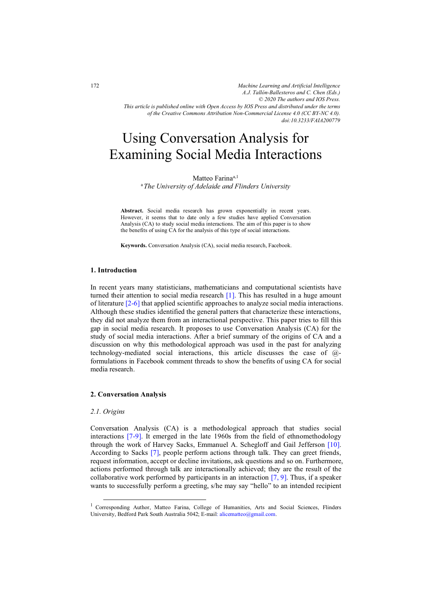*Machine Learning and Artificial Intelligence A.J. Tallón-Ballesteros and C. Chen (Eds.) © 2020 The authors and IOS Press. This article is published online with Open Access by IOS Press and distributed under the terms of the Creative Commons Attribution Non-Commercial License 4.0 (CC BY-NC 4.0). doi:10.3233/FAIA200779*

# Using Conversation Analysis for Examining Social Media Interactions

Matteo Farinaa,1 a*The University of Adelaide and Flinders University* 

**Abstract.** Social media research has grown exponentially in recent years. However, it seems that to date only a few studies have applied Conversation Analysis (CA) to study social media interactions. The aim of this paper is to show the benefits of using CA for the analysis of this type of social interactions.

**Keywords.** Conversation Analysis (CA), social media research, Facebook.

# **1. Introduction**

In recent years many statisticians, mathematicians and computational scientists have turned their attention to social media research [\[1\]](#page-4-0). This has resulted in a huge amount of literature [\[2-6\]](#page-4-0) that applied scientific approaches to analyze social media interactions. Although these studies identified the general patters that characterize these interactions, they did not analyze them from an interactional perspective. This paper tries to fill this gap in social media research. It proposes to use Conversation Analysis (CA) for the study of social media interactions. After a brief summary of the origins of CA and a discussion on why this methodological approach was used in the past for analyzing technology-mediated social interactions, this article discusses the case of @ formulations in Facebook comment threads to show the benefits of using CA for social media research.

### **2. Conversation Analysis**

### *2.1. Origins*

Conversation Analysis (CA) is a methodological approach that studies social interactions [\[7-9\]](#page-4-0). It emerged in the late 1960s from the field of ethnomethodology through the work of Harvey Sacks, Emmanuel A. Schegloff and Gail Jefferson [\[10\]](#page-5-0). According to Sacks [\[7\]](#page-4-0), people perform actions through talk. They can greet friends, request information, accept or decline invitations, ask questions and so on. Furthermore, actions performed through talk are interactionally achieved; they are the result of the collaborative work performed by participants in an interaction  $[7, 9]$ . Thus, if a speaker wants to successfully perform a greeting, s/he may say "hello" to an intended recipient

<sup>&</sup>lt;sup>1</sup> Corresponding Author, Matteo Farina, College of Humanities, Arts and Social Sciences, Flinders University, Bedford Park South Australia 5042; E-mail: alicematteo@gmail.com.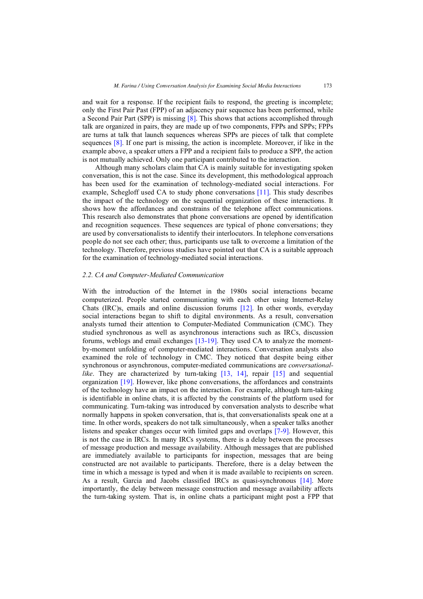and wait for a response. If the recipient fails to respond, the greeting is incomplete; only the First Pair Past (FPP) of an adjacency pair sequence has been performed, while a Second Pair Part (SPP) is missing [\[8\]](#page-4-0). This shows that actions accomplished through talk are organized in pairs, they are made up of two components, FPPs and SPPs; FPPs are turns at talk that launch sequences whereas SPPs are pieces of talk that complete sequences [\[8\]](#page-4-0). If one part is missing, the action is incomplete. Moreover, if like in the example above, a speaker utters a FPP and a recipient fails to produce a SPP, the action is not mutually achieved. Only one participant contributed to the interaction.

Although many scholars claim that CA is mainly suitable for investigating spoken conversation, this is not the case. Since its development, this methodological approach has been used for the examination of technology-mediated social interactions. For example, Schegloff used CA to study phone conversations [\[11\]](#page-5-0). This study describes the impact of the technology on the sequential organization of these interactions. It shows how the affordances and constrains of the telephone affect communications. This research also demonstrates that phone conversations are opened by identification and recognition sequences. These sequences are typical of phone conversations; they are used by conversationalists to identify their interlocutors. In telephone conversations people do not see each other; thus, participants use talk to overcome a limitation of the technology. Therefore, previous studies have pointed out that CA is a suitable approach for the examination of technology-mediated social interactions.

# *2.2. CA and Computer-Mediated Communication*

With the introduction of the Internet in the 1980s social interactions became computerized. People started communicating with each other using Internet-Relay Chats (IRC)s, emails and online discussion forums [\[12\]](#page-5-0). In other words, everyday social interactions began to shift to digital environments. As a result, conversation analysts turned their attention to Computer-Mediated Communication (CMC). They studied synchronous as well as asynchronous interactions such as IRCs, discussion forums, weblogs and email exchanges [\[13-19\]](#page-5-0). They used CA to analyze the momentby-moment unfolding of computer-mediated interactions. Conversation analysts also examined the role of technology in CMC. They noticed that despite being either synchronous or asynchronous, computer-mediated communications are *conversationallike*. They are characterized by turn-taking [\[13,](#page-5-0) [14\]](#page-5-0), repair [\[15\]](#page-5-0) and sequential organization [\[19\]](#page-5-0). However, like phone conversations, the affordances and constraints of the technology have an impact on the interaction. For example, although turn-taking is identifiable in online chats, it is affected by the constraints of the platform used for communicating. Turn-taking was introduced by conversation analysts to describe what normally happens in spoken conversation, that is, that conversationalists speak one at a time. In other words, speakers do not talk simultaneously, when a speaker talks another listens and speaker changes occur with limited gaps and overlaps [\[7-9\]](#page-4-0). However, this is not the case in IRCs. In many IRCs systems, there is a delay between the processes of message production and message availability. Although messages that are published are immediately available to participants for inspection, messages that are being constructed are not available to participants. Therefore, there is a delay between the time in which a message is typed and when it is made available to recipients on screen. As a result, Garcia and Jacobs classified IRCs as quasi-synchronous [\[14\]](#page-5-0). More importantly, the delay between message construction and message availability affects the turn-taking system. That is, in online chats a participant might post a FPP that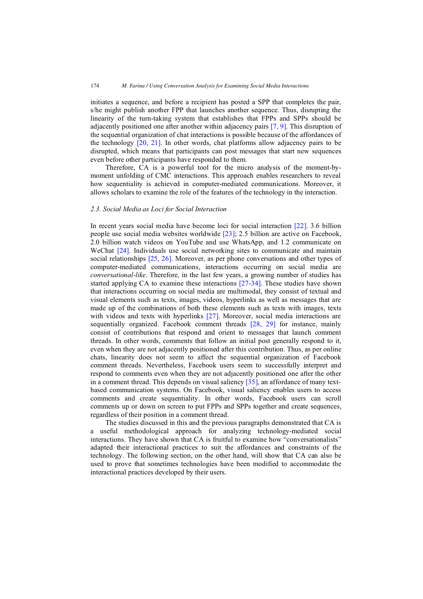initiates a sequence, and before a recipient has posted a SPP that completes the pair, s/he might publish another FPP that launches another sequence. Thus, disrupting the linearity of the turn-taking system that establishes that FPPs and SPPs should be adjacently positioned one after another within adjacency pairs [\[7, 9\]](#page-4-0). This disruption of the sequential organization of chat interactions is possible because of the affordances of the technology [\[20, 21\]](#page-5-0). In other words, chat platforms allow adjacency pairs to be disrupted, which means that participants can post messages that start new sequences even before other participants have responded to them.

Therefore, CA is a powerful tool for the micro analysis of the moment-bymoment unfolding of CMC interactions. This approach enables researchers to reveal how sequentiality is achieved in computer-mediated communications. Moreover, it allows scholars to examine the role of the features of the technology in the interaction.

## *2.3. Social Media as Loci for Social Interaction*

In recent years social media have become loci for social interaction [\[22\]](#page-5-0). 3.6 billion people use social media websites worldwide [\[23\]](#page-5-0); 2.5 billion are active on Facebook, 2.0 billion watch videos on YouTube and use WhatsApp, and 1.2 communicate on WeChat [\[24\]](#page-5-0). Individuals use social networking sites to communicate and maintain social relationships [\[25, 26\]](#page-5-0). Moreover, as per phone conversations and other types of computer-mediated communications, interactions occurring on social media are *conversational-like*. Therefore, in the last few years, a growing number of studies has started applying CA to examine these interactions [\[27-34\]](#page-5-0). These studies have shown that interactions occurring on social media are multimodal, they consist of textual and visual elements such as texts, images, videos, hyperlinks as well as messages that are made up of the combinations of both these elements such as texts with images, texts with videos and texts with hyperlinks [\[27\]](#page-5-0). Moreover, social media interactions are sequentially organized. Facebook comment threads [\[28,](#page-5-0) [29\]](#page-5-0) for instance, mainly consist of contributions that respond and orient to messages that launch comment threads. In other words, comments that follow an initial post generally respond to it, even when they are not adjacently positioned after this contribution. Thus, as per online chats, linearity does not seem to affect the sequential organization of Facebook comment threads. Nevertheless, Facebook users seem to successfully interpret and respond to comments even when they are not adjacently positioned one after the other in a comment thread. This depends on visual saliency [\[35\]](#page-5-0), an affordance of many textbased communication systems. On Facebook, visual saliency enables users to access comments and create sequentiality. In other words, Facebook users can scroll comments up or down on screen to put FPPs and SPPs together and create sequences, regardless of their position in a comment thread.

The studies discussed in this and the previous paragraphs demonstrated that CA is a useful methodological approach for analyzing technology-mediated social interactions. They have shown that CA is fruitful to examine how "conversationalists" adapted their interactional practices to suit the affordances and constraints of the technology. The following section, on the other hand, will show that CA can also be used to prove that sometimes technologies have been modified to accommodate the interactional practices developed by their users.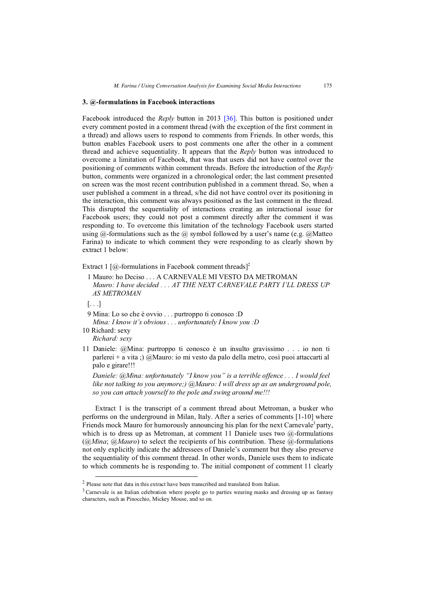## **3. @-formulations in Facebook interactions**

Facebook introduced the *Reply* button in 2013 [\[36\]](#page-5-0). This button is positioned under every comment posted in a comment thread (with the exception of the first comment in a thread) and allows users to respond to comments from Friends. In other words, this button enables Facebook users to post comments one after the other in a comment thread and achieve sequentiality. It appears that the *Reply* button was introduced to overcome a limitation of Facebook, that was that users did not have control over the positioning of comments within comment threads. Before the introduction of the *Reply* button, comments were organized in a chronological order; the last comment presented on screen was the most recent contribution published in a comment thread. So, when a user published a comment in a thread, s/he did not have control over its positioning in the interaction, this comment was always positioned as the last comment in the thread. This disrupted the sequentiality of interactions creating an interactional issue for Facebook users; they could not post a comment directly after the comment it was responding to. To overcome this limitation of the technology Facebook users started using  $\omega$ -formulations such as the  $\omega$  symbol followed by a user's name (e.g.  $\omega$  Matteo Farina) to indicate to which comment they were responding to as clearly shown by extract 1 below:

Extract 1 [ $@$ -formulations in Facebook comment threads]<sup>2</sup>

1 Mauro: ho Deciso . . . A CARNEVALE MI VESTO DA METROMAN *Mauro: I have decided . . . AT THE NEXT CARNEVALE PARTY I'LL DRESS UP AS METROMAN* 

 $[\ldots]$ 

9 Mina: Lo so che è ovvio . . . purtroppo ti conosco :D

*Mina: I know it's obvious . . . unfortunately I know you :D* 

10 Richard: sexy *Richard: sexy* 

11 Daniele: @Mina: purtroppo ti conosco è un insulto gravissimo . . . io non ti parlerei + a vita ;) @Mauro: io mi vesto da palo della metro, così puoi attaccarti al palo e girare!!!

*Daniele: @Mina: unfortunately "I know you" is a terrible offence . . . I would feel like not talking to you anymore;) @Mauro: I will dress up as an underground pole, so you can attach yourself to the pole and swing around me!!!* 

Extract 1 is the transcript of a comment thread about Metroman, a busker who performs on the underground in Milan, Italy. After a series of comments [1-10] where Friends mock Mauro for humorously announcing his plan for the next Carnevale<sup>3</sup> party, which is to dress up as Metroman, at comment 11 Daniele uses two  $\omega$ -formulations (*@Mina*; *@Mauro*) to select the recipients of his contribution. These @-formulations not only explicitly indicate the addressees of Daniele's comment but they also preserve the sequentiality of this comment thread. In other words, Daniele uses them to indicate to which comments he is responding to. The initial component of comment 11 clearly

<sup>2</sup> Please note that data in this extract have been transcribed and translated from Italian.

 $3$  Carnevale is an Italian celebration where people go to parties wearing masks and dressing up as fantasy characters, such as Pinocchio, Mickey Mouse, and so on.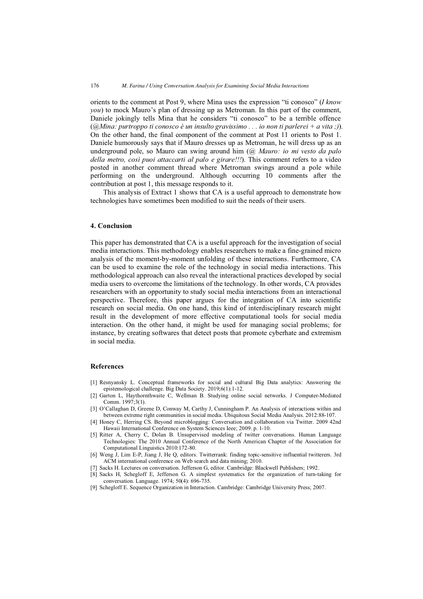<span id="page-4-0"></span>orients to the comment at Post 9, where Mina uses the expression "ti conosco" (*I know you*) to mock Mauro's plan of dressing up as Metroman. In this part of the comment, Daniele jokingly tells Mina that he considers "ti conosco" to be a terrible offence (*@Mina: purtroppo ti conosco è un insulto gravissimo . . . io non ti parlerei + a vita ;)*). On the other hand, the final component of the comment at Post 11 orients to Post 1. Daniele humorously says that if Mauro dresses up as Metroman, he will dress up as an underground pole, so Mauro can swing around him (*@ Mauro: io mi vesto da palo della metro, così puoi attaccarti al palo e girare!!!*). This comment refers to a video posted in another comment thread where Metroman swings around a pole while performing on the underground. Although occurring 10 comments after the contribution at post 1, this message responds to it.

This analysis of Extract 1 shows that CA is a useful approach to demonstrate how technologies have sometimes been modified to suit the needs of their users.

## **4. Conclusion**

This paper has demonstrated that CA is a useful approach for the investigation of social media interactions. This methodology enables researchers to make a fine-grained micro analysis of the moment-by-moment unfolding of these interactions. Furthermore, CA can be used to examine the role of the technology in social media interactions. This methodological approach can also reveal the interactional practices developed by social media users to overcome the limitations of the technology. In other words, CA provides researchers with an opportunity to study social media interactions from an interactional perspective. Therefore, this paper argues for the integration of CA into scientific research on social media. On one hand, this kind of interdisciplinary research might result in the development of more effective computational tools for social media interaction. On the other hand, it might be used for managing social problems; for instance, by creating softwares that detect posts that promote cyberhate and extremism in social media.

# **References**

- [1] Resnyansky L. Conceptual frameworks for social and cultural Big Data analytics: Answering the epistemological challenge. Big Data Society. 2019;6(1):1-12.
- [2] Garton L, Haythornthwaite C, Wellman B. Studying online social networks. J Computer-Mediated Comm. 1997;3(1).
- [3] O'Callaghan D, Greene D, Conway M, Carthy J, Cunningham P. An Analysis of interactions within and between extreme right communities in social media. Ubiquitous Social Media Analysis. 2012:88-107.
- [4] Honey C, Herring CS. Beyond microblogging: Conversation and collaboration via Twitter. 2009 42nd Hawaii International Conference on System Sciences Ieee; 2009. p. 1-10.
- [5] Ritter A, Cherry C, Dolan B. Unsupervised modeling of twitter conversations. Human Language Technologies: The 2010 Annual Conference of the North American Chapter of the Association for Computational Linguistics 2010:172-80.
- [6] Weng J, Lim E-P, Jiang J, He Q, editors. Twitterrank: finding topic-sensitive influential twitterers. 3rd ACM international conference on Web search and data mining; 2010.
- [7] Sacks H. Lectures on conversation. Jefferson G, editor. Cambridge: Blackwell Publishers; 1992.
- [8] Sacks H, Schegloff E, Jefferson G. A simplest systematics for the organization of turn-taking for conversation. Language. 1974; 50(4): 696-735.
- [9] Schegloff E. Sequence Organization in Interaction. Cambridge: Cambridge University Press; 2007.